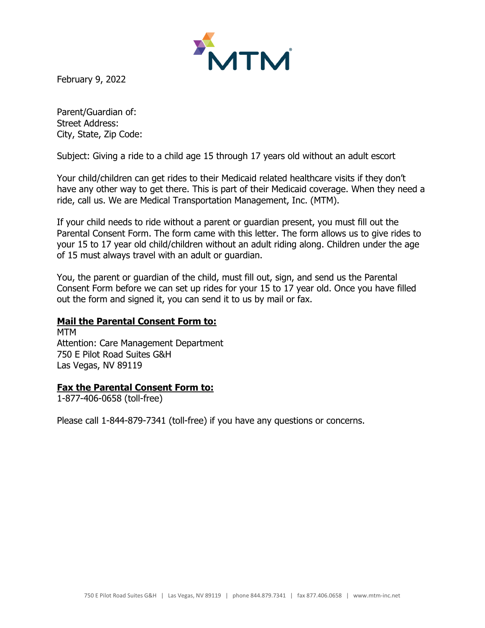

February 9, 2022

Parent/Guardian of: Street Address: City, State, Zip Code:

Subject: Giving a ride to a child age 15 through 17 years old without an adult escort

Your child/children can get rides to their Medicaid related healthcare visits if they don't have any other way to get there. This is part of their Medicaid coverage. When they need a ride, call us. We are Medical Transportation Management, Inc. (MTM).

If your child needs to ride without a parent or guardian present, you must fill out the Parental Consent Form. The form came with this letter. The form allows us to give rides to your 15 to 17 year old child/children without an adult riding along. Children under the age of 15 must always travel with an adult or guardian.

You, the parent or guardian of the child, must fill out, sign, and send us the Parental Consent Form before we can set up rides for your 15 to 17 year old. Once you have filled out the form and signed it, you can send it to us by mail or fax.

# **Mail the Parental Consent Form to:**

MTM Attention: Care Management Department 750 E Pilot Road Suites G&H Las Vegas, NV 89119

# **Fax the Parental Consent Form to:**

1-877-406-0658 (toll-free)

Please call 1-844-879-7341 (toll-free) if you have any questions or concerns.